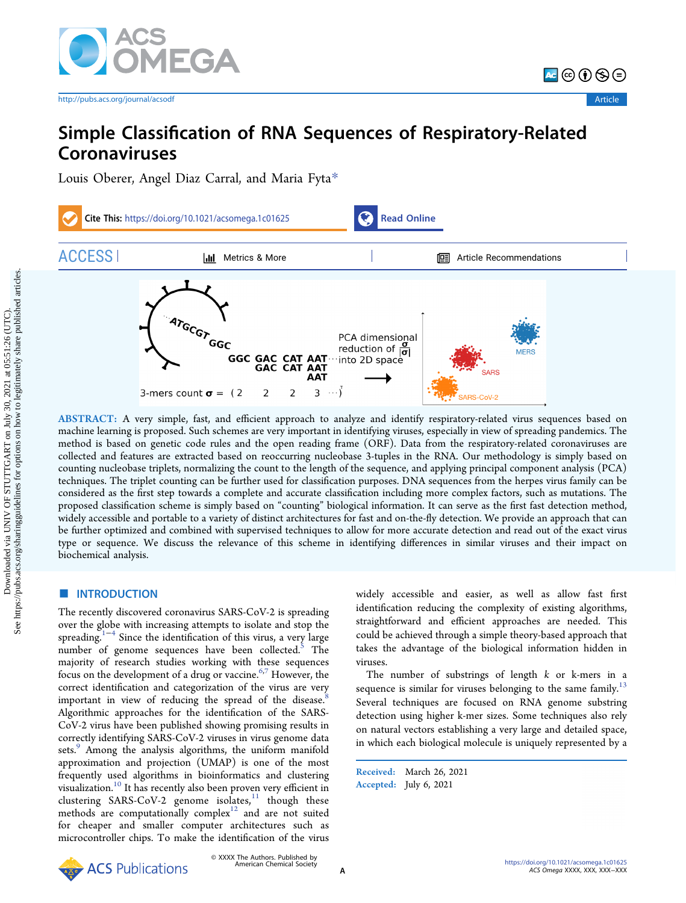

[http://pubs.acs.org/journal/acsodf](http://pubs.acs.org/journal/acsodf?ref=pdf) **Article** Article

<mark>^</mark>©⊙⊙⊜

# Simple Classification of RNA Sequences of Respiratory-Related Coronaviruses

[Louis Oberer,](https://pubs.acs.org/action/doSearch?field1=Contrib&text1="Louis+Oberer"&field2=AllField&text2=&publication=&accessType=allContent&Earliest=&ref=pdf) [Angel Diaz Carral,](https://pubs.acs.org/action/doSearch?field1=Contrib&text1="Angel+Diaz+Carral"&field2=AllField&text2=&publication=&accessType=allContent&Earliest=&ref=pdf) [and Maria Fyta](https://pubs.acs.org/action/doSearch?field1=Contrib&text1="Maria+Fyta"&field2=AllField&text2=&publication=&accessType=allContent&Earliest=&ref=pdf)[\\*](#page-5-0)



ABSTRACT: A very simple, fast, and efficient approach to analyze and identify respiratory-related virus sequences based on machine learning is proposed. Such schemes are very important in identifying viruses, especially in view of spreading pandemics. The method is based on genetic code rules and the open reading frame (ORF). Data from the respiratory-related coronaviruses are collected and features are extracted based on reoccurring nucleobase 3-tuples in the RNA. Our methodology is simply based on counting nucleobase triplets, normalizing the count to the length of the sequence, and applying principal component analysis (PCA) techniques. The triplet counting can be further used for classification purposes. DNA sequences from the herpes virus family can be considered as the first step towards a complete and accurate classification including more complex factors, such as mutations. The proposed classification scheme is simply based on "counting" biological information. It can serve as the first fast detection method, widely accessible and portable to a variety of distinct architectures for fast and on-the-fly detection. We provide an approach that can be further optimized and combined with supervised techniques to allow for more accurate detection and read out of the exact virus type or sequence. We discuss the relevance of this scheme in identifying differences in similar viruses and their impact on biochemical analysis.

# **ENTRODUCTION**

The recently discovered coronavirus SARS-CoV-2 is spreading over the globe with increasing attempts to isolate and stop the spreading.<sup>1−[4](#page-6-0)</sup> Since the identification of this virus, a very large number of genome sequences have been collected.<sup>[5](#page-6-0)</sup> The majority of research studies working with these sequences focus on the development of a drug or vaccine. $6,7$  However, the correct identification and categorization of the virus are very important in view of reducing the spread of the disease. Algorithmic approaches for the identification of the SARS-CoV-2 virus have been published showing promising results in correctly identifying SARS-CoV-2 viruses in virus genome data sets.<sup>[9](#page-6-0)</sup> Among the analysis algorithms, the uniform manifold approximation and projection (UMAP) is one of the most frequently used algorithms in bioinformatics and clustering visualization[.10](#page-6-0) It has recently also been proven very efficient in clustering SARS-CoV-2 genome isolates, $11$  though these methods are computationally complex $12$  and are not suited for cheaper and smaller computer architectures such as microcontroller chips. To make the identification of the virus widely accessible and easier, as well as allow fast first identification reducing the complexity of existing algorithms, straightforward and efficient approaches are needed. This could be achieved through a simple theory-based approach that takes the advantage of the biological information hidden in viruses.

The number of substrings of length  $k$  or k-mers in a sequence is similar for viruses belonging to the same family.<sup>13</sup> Several techniques are focused on RNA genome substring detection using higher k-mer sizes. Some techniques also rely on natural vectors establishing a very large and detailed space, in which each biological molecule is uniquely represented by a

Received: March 26, 2021 Accepted: July 6, 2021

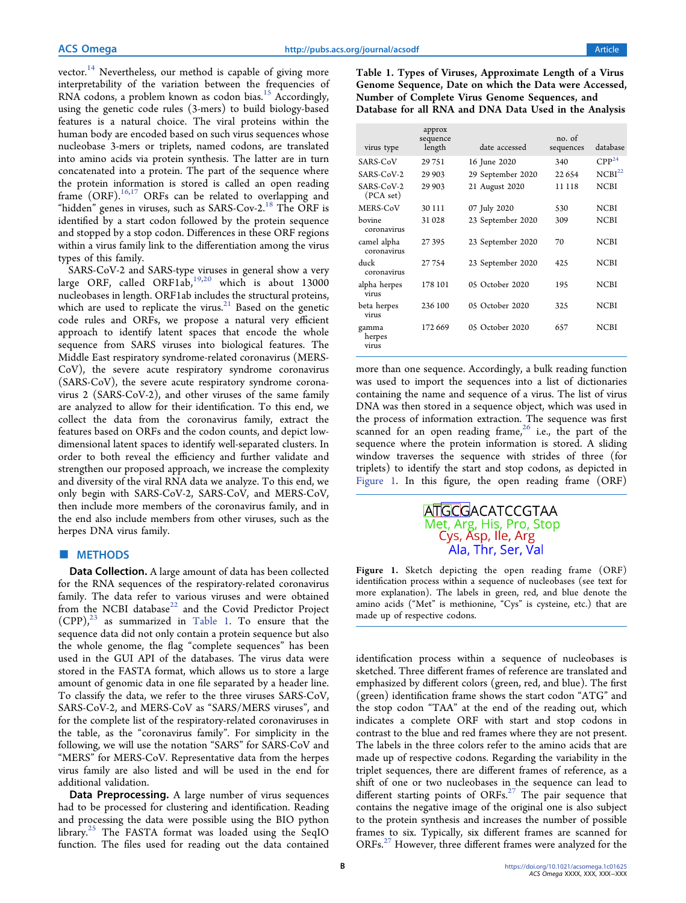<span id="page-1-0"></span>vector.<sup>14</sup> Nevertheless, our method is capable of giving more interpretability of the variation between the frequencies of RNA codons, a problem known as codon bias.<sup>[15](#page-6-0)</sup> Accordingly, using the genetic code rules (3-mers) to build biology-based features is a natural choice. The viral proteins within the human body are encoded based on such virus sequences whose nucleobase 3-mers or triplets, named codons, are translated into amino acids via protein synthesis. The latter are in turn concatenated into a protein. The part of the sequence where the protein information is stored is called an open reading frame (ORF).<sup>[16,17](#page-6-0)</sup> ORFs can be related to overlapping and "hidden" genes in viruses, such as SARS-Cov-2.<sup>[18](#page-6-0)</sup> The ORF is identified by a start codon followed by the protein sequence and stopped by a stop codon. Differences in these ORF regions within a virus family link to the differentiation among the virus types of this family.

SARS-CoV-2 and SARS-type viruses in general show a very large ORF, called ORF1ab, $19,20$  which is about 13000 nucleobases in length. ORF1ab includes the structural proteins, which are used to replicate the virus. $21$  Based on the genetic code rules and ORFs, we propose a natural very efficient approach to identify latent spaces that encode the whole sequence from SARS viruses into biological features. The Middle East respiratory syndrome-related coronavirus (MERS-CoV), the severe acute respiratory syndrome coronavirus (SARS-CoV), the severe acute respiratory syndrome coronavirus 2 (SARS-CoV-2), and other viruses of the same family are analyzed to allow for their identification. To this end, we collect the data from the coronavirus family, extract the features based on ORFs and the codon counts, and depict lowdimensional latent spaces to identify well-separated clusters. In order to both reveal the efficiency and further validate and strengthen our proposed approach, we increase the complexity and diversity of the viral RNA data we analyze. To this end, we only begin with SARS-CoV-2, SARS-CoV, and MERS-CoV, then include more members of the coronavirus family, and in the end also include members from other viruses, such as the herpes DNA virus family.

# ■ METHODS

Data Collection. A large amount of data has been collected for the RNA sequences of the respiratory-related coronavirus family. The data refer to various viruses and were obtained from the NCBI database<sup>[22](#page-6-0)</sup> and the Covid Predictor Project  $(CPP)$ ,<sup>23</sup> as summarized in Table 1. To ensure that the sequence data did not only contain a protein sequence but also the whole genome, the flag "complete sequences" has been used in the GUI API of the databases. The virus data were stored in the FASTA format, which allows us to store a large amount of genomic data in one file separated by a header line. To classify the data, we refer to the three viruses SARS-CoV, SARS-CoV-2, and MERS-CoV as "SARS/MERS viruses", and for the complete list of the respiratory-related coronaviruses in the table, as the "coronavirus family". For simplicity in the following, we will use the notation "SARS" for SARS-CoV and "MERS" for MERS-CoV. Representative data from the herpes virus family are also listed and will be used in the end for additional validation.

Data Preprocessing. A large number of virus sequences had to be processed for clustering and identification. Reading and processing the data were possible using the BIO python library.<sup>[25](#page-6-0)</sup> The FASTA format was loaded using the SeqIO function. The files used for reading out the data contained

Table 1. Types of Viruses, Approximate Length of a Virus Genome Sequence, Date on which the Data were Accessed, Number of Complete Virus Genome Sequences, and Database for all RNA and DNA Data Used in the Analysis

| virus type                 | approx<br>sequence<br>length | date accessed     | no. of<br>sequences | database           |
|----------------------------|------------------------------|-------------------|---------------------|--------------------|
| SARS-CoV                   | 29751                        | 16 June 2020      | 340                 | $CPP^{24}$         |
| SARS-CoV-2                 | 29 903                       | 29 September 2020 | 22 6 5 4            | NCBI <sup>22</sup> |
| SARS-CoV-2<br>(PCA set)    | 29 903                       | 21 August 2020    | 11 118              | <b>NCBI</b>        |
| MERS-CoV                   | 30 111                       | 07 July 2020      | 530                 | <b>NCBI</b>        |
| bovine<br>coronavirus      | 31 028                       | 23 September 2020 | 309                 | NCBI               |
| camel alpha<br>coronavirus | 27395                        | 23 September 2020 | 70                  | <b>NCBI</b>        |
| duck<br>coronavirus        | 27754                        | 23 September 2020 | 42.5                | <b>NCBI</b>        |
| alpha herpes<br>virus      | 178 101                      | 05 October 2020   | 195                 | <b>NCBI</b>        |
| beta herpes<br>virus       | 236 100                      | 05 October 2020   | 325                 | <b>NCBI</b>        |
| gamma<br>herpes<br>virus   | 172 669                      | 05 October 2020   | 657                 | <b>NCBI</b>        |

more than one sequence. Accordingly, a bulk reading function was used to import the sequences into a list of dictionaries containing the name and sequence of a virus. The list of virus DNA was then stored in a sequence object, which was used in the process of information extraction. The sequence was first scanned for an open reading frame, $26$  i.e., the part of the sequence where the protein information is stored. A sliding window traverses the sequence with strides of three (for triplets) to identify the start and stop codons, as depicted in Figure 1. In this figure, the open reading frame (ORF)

# **ATGCGACATCCGTAA** Met, Arg, His, Pro, Stop Cys, Asp, Ile, Arg Ala, Thr, Ser, Val

Figure 1. Sketch depicting the open reading frame (ORF) identification process within a sequence of nucleobases (see text for more explanation). The labels in green, red, and blue denote the amino acids ("Met" is methionine, "Cys" is cysteine, etc.) that are made up of respective codons.

identification process within a sequence of nucleobases is sketched. Three different frames of reference are translated and emphasized by different colors (green, red, and blue). The first (green) identification frame shows the start codon "ATG" and the stop codon "TAA" at the end of the reading out, which indicates a complete ORF with start and stop codons in contrast to the blue and red frames where they are not present. The labels in the three colors refer to the amino acids that are made up of respective codons. Regarding the variability in the triplet sequences, there are different frames of reference, as a shift of one or two nucleobases in the sequence can lead to different starting points of ORFs. $27$  The pair sequence that contains the negative image of the original one is also subject to the protein synthesis and increases the number of possible frames to six. Typically, six different frames are scanned for ORFs. $27$  However, three different frames were analyzed for the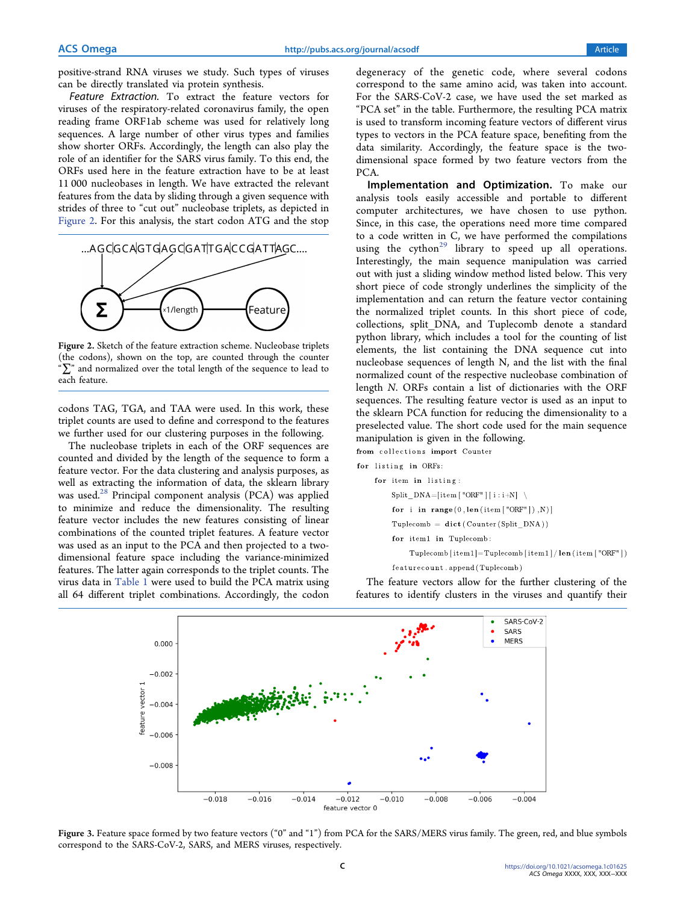<span id="page-2-0"></span>positive-strand RNA viruses we study. Such types of viruses can be directly translated via protein synthesis.

Feature Extraction. To extract the feature vectors for viruses of the respiratory-related coronavirus family, the open reading frame ORF1ab scheme was used for relatively long sequences. A large number of other virus types and families show shorter ORFs. Accordingly, the length can also play the role of an identifier for the SARS virus family. To this end, the ORFs used here in the feature extraction have to be at least 11 000 nucleobases in length. We have extracted the relevant features from the data by sliding through a given sequence with strides of three to "cut out" nucleobase triplets, as depicted in Figure 2. For this analysis, the start codon ATG and the stop



Figure 2. Sketch of the feature extraction scheme. Nucleobase triplets (the codons), shown on the top, are counted through the counter " $\sum$ " and normalized over the total length of the sequence to lead to each feature.

codons TAG, TGA, and TAA were used. In this work, these triplet counts are used to define and correspond to the features we further used for our clustering purposes in the following.

The nucleobase triplets in each of the ORF sequences are counted and divided by the length of the sequence to form a feature vector. For the data clustering and analysis purposes, as well as extracting the information of data, the sklearn library was used.<sup>28</sup> Principal component analysis  $(PCA)$  was applied to minimize and reduce the dimensionality. The resulting feature vector includes the new features consisting of linear combinations of the counted triplet features. A feature vector was used as an input to the PCA and then projected to a twodimensional feature space including the variance-minimized features. The latter again corresponds to the triplet counts. The virus data in [Table 1](#page-1-0) were used to build the PCA matrix using all 64 different triplet combinations. Accordingly, the codon

degeneracy of the genetic code, where several codons correspond to the same amino acid, was taken into account. For the SARS-CoV-2 case, we have used the set marked as "PCA set" in the table. Furthermore, the resulting PCA matrix is used to transform incoming feature vectors of different virus types to vectors in the PCA feature space, benefiting from the data similarity. Accordingly, the feature space is the twodimensional space formed by two feature vectors from the PCA.

Implementation and Optimization. To make our analysis tools easily accessible and portable to different computer architectures, we have chosen to use python. Since, in this case, the operations need more time compared to a code written in C, we have performed the compilations using the cython<sup>[29](#page-6-0)</sup> library to speed up all operations. Interestingly, the main sequence manipulation was carried out with just a sliding window method listed below. This very short piece of code strongly underlines the simplicity of the implementation and can return the feature vector containing the normalized triplet counts. In this short piece of code, collections, split\_DNA, and Tuplecomb denote a standard python library, which includes a tool for the counting of list elements, the list containing the DNA sequence cut into nucleobase sequences of length N, and the list with the final normalized count of the respective nucleobase combination of length N. ORFs contain a list of dictionaries with the ORF sequences. The resulting feature vector is used as an input to the sklearn PCA function for reducing the dimensionality to a preselected value. The short code used for the main sequence manipulation is given in the following.

for listing in ORFs:

from collections import Counter

for item in listing: Split  $DNA=[item [ "ORF" ] [ i : i+N ]$ 

for i in range  $(0, len(item['ORF"]), N)$ 

Tuplecomb =  $\text{dict}(\text{Counter(Split DNA}))$ 

for item1 in Tuplecomb:

Tuplecomb [item1]=Tuplecomb [item1] /  $len(item['ORF"]$ ]

 $\mathtt{featurecount}$  .  $\mathtt{append}\left(\texttt{Tuplecomb}\right)$ 

The feature vectors allow for the further clustering of the features to identify clusters in the viruses and quantify their



Figure 3. Feature space formed by two feature vectors ("0" and "1") from PCA for the SARS/MERS virus family. The green, red, and blue symbols correspond to the SARS-CoV-2, SARS, and MERS viruses, respectively.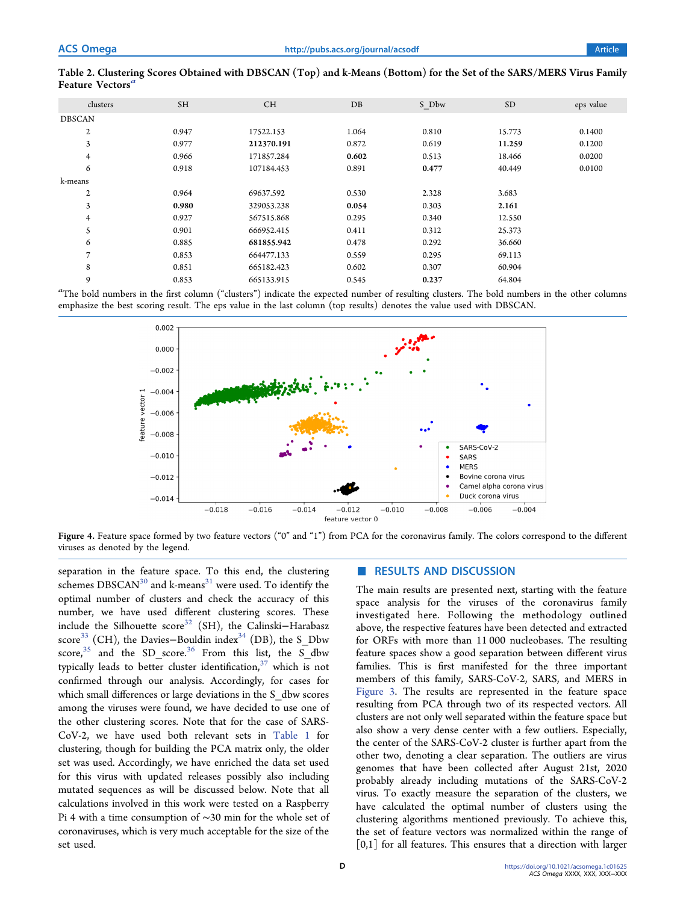|               | clusters       | <b>SH</b> | <b>CH</b>  | DB    | S Dbw | <b>SD</b> | eps value |
|---------------|----------------|-----------|------------|-------|-------|-----------|-----------|
| <b>DBSCAN</b> |                |           |            |       |       |           |           |
|               | 2              | 0.947     | 17522.153  | 1.064 | 0.810 | 15.773    | 0.1400    |
|               | 3              | 0.977     | 212370.191 | 0.872 | 0.619 | 11.259    | 0.1200    |
|               | $\overline{4}$ | 0.966     | 171857.284 | 0.602 | 0.513 | 18.466    | 0.0200    |
|               | 6              | 0.918     | 107184.453 | 0.891 | 0.477 | 40.449    | 0.0100    |
| k-means       |                |           |            |       |       |           |           |
|               | $\mathbf{2}$   | 0.964     | 69637.592  | 0.530 | 2.328 | 3.683     |           |
|               | 3              | 0.980     | 329053.238 | 0.054 | 0.303 | 2.161     |           |
|               | $\overline{4}$ | 0.927     | 567515.868 | 0.295 | 0.340 | 12.550    |           |
|               | 5              | 0.901     | 666952.415 | 0.411 | 0.312 | 25.373    |           |
|               | 6              | 0.885     | 681855.942 | 0.478 | 0.292 | 36.660    |           |
|               | $\overline{ }$ | 0.853     | 664477.133 | 0.559 | 0.295 | 69.113    |           |
|               | 8              | 0.851     | 665182.423 | 0.602 | 0.307 | 60.904    |           |
|               | 9              | 0.853     | 665133.915 | 0.545 | 0.237 | 64.804    |           |

<span id="page-3-0"></span>Table 2. Clustering Scores Obtained with DBSCAN (Top) and k-Means (Bottom) for the Set of the SARS/MERS Virus Family Feature Vectors<sup>a</sup>

 $a$ The bold numbers in the first column ("clusters") indicate the expected number of resulting clusters. The bold numbers in the other columns emphasize the best scoring result. The eps value in the last column (top results) denotes the value used with DBSCAN.



Figure 4. Feature space formed by two feature vectors ("0" and "1") from PCA for the coronavirus family. The colors correspond to the different viruses as denoted by the legend.

separation in the feature space. To this end, the clustering schemes DBSCAN<sup>[30](#page-6-0)</sup> and k-means<sup>[31](#page-6-0)</sup> were used. To identify the optimal number of clusters and check the accuracy of this number, we have used different clustering scores. These include the Silhouette scor[e32](#page-6-0) (SH), the Calinski−Harabasz score<sup>33</sup> (CH), the Davies-Bouldin index<sup>[34](#page-6-0)</sup> (DB), the S\_Dbw score,  $35$  and the SD score.  $36$  From this list, the S dbw typically leads to better cluster identification,  $37$  which is not confirmed through our analysis. Accordingly, for cases for which small differences or large deviations in the S dbw scores among the viruses were found, we have decided to use one of the other clustering scores. Note that for the case of SARS-CoV-2, we have used both relevant sets in [Table 1](#page-1-0) for clustering, though for building the PCA matrix only, the older set was used. Accordingly, we have enriched the data set used for this virus with updated releases possibly also including mutated sequences as will be discussed below. Note that all calculations involved in this work were tested on a Raspberry Pi 4 with a time consumption of ∼30 min for the whole set of coronaviruses, which is very much acceptable for the size of the set used.

## ■ RESULTS AND DISCUSSION

The main results are presented next, starting with the feature space analysis for the viruses of the coronavirus family investigated here. Following the methodology outlined above, the respective features have been detected and extracted for ORFs with more than 11 000 nucleobases. The resulting feature spaces show a good separation between different virus families. This is first manifested for the three important members of this family, SARS-CoV-2, SARS, and MERS in [Figure 3.](#page-2-0) The results are represented in the feature space resulting from PCA through two of its respected vectors. All clusters are not only well separated within the feature space but also show a very dense center with a few outliers. Especially, the center of the SARS-CoV-2 cluster is further apart from the other two, denoting a clear separation. The outliers are virus genomes that have been collected after August 21st, 2020 probably already including mutations of the SARS-CoV-2 virus. To exactly measure the separation of the clusters, we have calculated the optimal number of clusters using the clustering algorithms mentioned previously. To achieve this, the set of feature vectors was normalized within the range of  $[0,1]$  for all features. This ensures that a direction with larger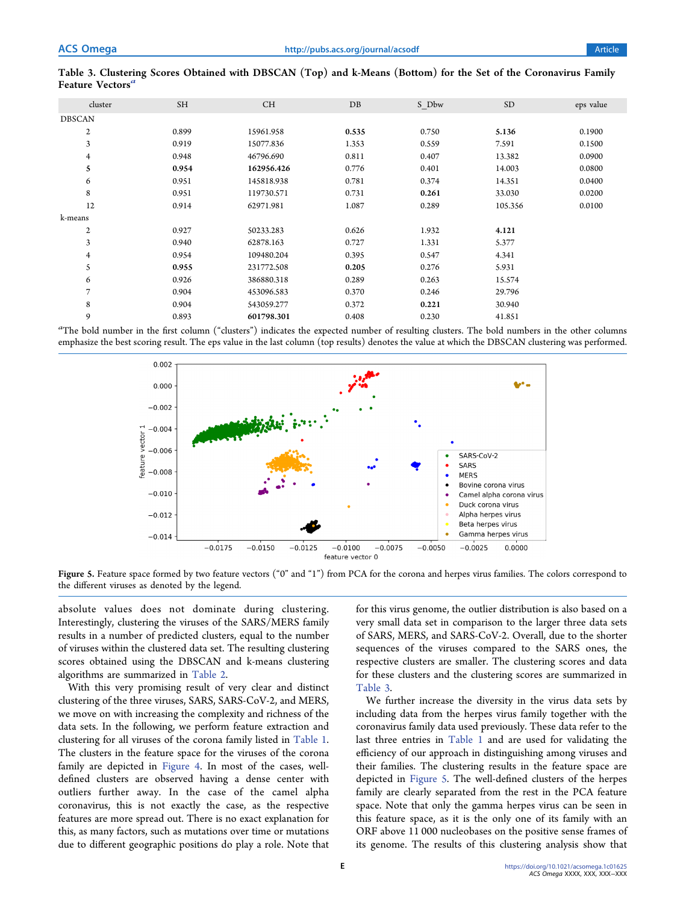| cluster          | <b>SH</b> | <b>CH</b>  | DB    | S Dbw | SD <sub>1</sub> | eps value |
|------------------|-----------|------------|-------|-------|-----------------|-----------|
| <b>DBSCAN</b>    |           |            |       |       |                 |           |
| $\boldsymbol{2}$ | 0.899     | 15961.958  | 0.535 | 0.750 | 5.136           | 0.1900    |
| 3                | 0.919     | 15077.836  | 1.353 | 0.559 | 7.591           | 0.1500    |
| 4                | 0.948     | 46796.690  | 0.811 | 0.407 | 13.382          | 0.0900    |
| 5                | 0.954     | 162956.426 | 0.776 | 0.401 | 14.003          | 0.0800    |
| 6                | 0.951     | 145818.938 | 0.781 | 0.374 | 14.351          | 0.0400    |
| 8                | 0.951     | 119730.571 | 0.731 | 0.261 | 33.030          | 0.0200    |
| 12               | 0.914     | 62971.981  | 1.087 | 0.289 | 105.356         | 0.0100    |
| k-means          |           |            |       |       |                 |           |
| $\mathbf{2}$     | 0.927     | 50233.283  | 0.626 | 1.932 | 4.121           |           |
| 3                | 0.940     | 62878.163  | 0.727 | 1.331 | 5.377           |           |
| 4                | 0.954     | 109480.204 | 0.395 | 0.547 | 4.341           |           |
| 5                | 0.955     | 231772.508 | 0.205 | 0.276 | 5.931           |           |
| 6                | 0.926     | 386880.318 | 0.289 | 0.263 | 15.574          |           |
| 7                | 0.904     | 453096.583 | 0.370 | 0.246 | 29.796          |           |
| 8                | 0.904     | 543059.277 | 0.372 | 0.221 | 30.940          |           |
| 9                | 0.893     | 601798.301 | 0.408 | 0.230 | 41.851          |           |

# <span id="page-4-0"></span>Table 3. Clustering Scores Obtained with DBSCAN (Top) and k-Means (Bottom) for the Set of the Coronavirus Family Feature Vectors'

<sup>a</sup>The bold number in the first column ("clusters") indicates the expected number of resulting clusters. The bold numbers in the other columns emphasize the best scoring result. The eps value in the last column (top results) denotes the value at which the DBSCAN clustering was performed.



Figure 5. Feature space formed by two feature vectors ("0" and "1") from PCA for the corona and herpes virus families. The colors correspond to the different viruses as denoted by the legend.

absolute values does not dominate during clustering. Interestingly, clustering the viruses of the SARS/MERS family results in a number of predicted clusters, equal to the number of viruses within the clustered data set. The resulting clustering scores obtained using the DBSCAN and k-means clustering algorithms are summarized in [Table 2.](#page-3-0)

With this very promising result of very clear and distinct clustering of the three viruses, SARS, SARS-CoV-2, and MERS, we move on with increasing the complexity and richness of the data sets. In the following, we perform feature extraction and clustering for all viruses of the corona family listed in [Table 1](#page-1-0). The clusters in the feature space for the viruses of the corona family are depicted in [Figure 4](#page-3-0). In most of the cases, welldefined clusters are observed having a dense center with outliers further away. In the case of the camel alpha coronavirus, this is not exactly the case, as the respective features are more spread out. There is no exact explanation for this, as many factors, such as mutations over time or mutations due to different geographic positions do play a role. Note that

for this virus genome, the outlier distribution is also based on a very small data set in comparison to the larger three data sets of SARS, MERS, and SARS-CoV-2. Overall, due to the shorter sequences of the viruses compared to the SARS ones, the respective clusters are smaller. The clustering scores and data for these clusters and the clustering scores are summarized in Table 3.

We further increase the diversity in the virus data sets by including data from the herpes virus family together with the coronavirus family data used previously. These data refer to the last three entries in [Table 1](#page-1-0) and are used for validating the efficiency of our approach in distinguishing among viruses and their families. The clustering results in the feature space are depicted in Figure 5. The well-defined clusters of the herpes family are clearly separated from the rest in the PCA feature space. Note that only the gamma herpes virus can be seen in this feature space, as it is the only one of its family with an ORF above 11 000 nucleobases on the positive sense frames of its genome. The results of this clustering analysis show that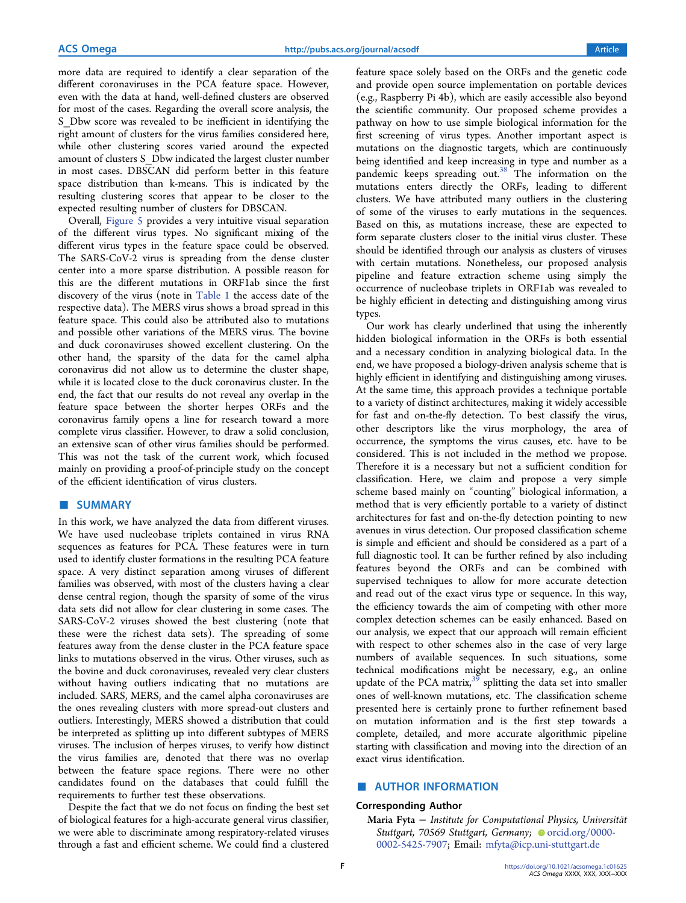<span id="page-5-0"></span>more data are required to identify a clear separation of the different coronaviruses in the PCA feature space. However, even with the data at hand, well-defined clusters are observed for most of the cases. Regarding the overall score analysis, the S Dbw score was revealed to be inefficient in identifying the right amount of clusters for the virus families considered here, while other clustering scores varied around the expected amount of clusters S\_Dbw indicated the largest cluster number in most cases. DBSCAN did perform better in this feature space distribution than k-means. This is indicated by the resulting clustering scores that appear to be closer to the expected resulting number of clusters for DBSCAN.

Overall, [Figure 5](#page-4-0) provides a very intuitive visual separation of the different virus types. No significant mixing of the different virus types in the feature space could be observed. The SARS-CoV-2 virus is spreading from the dense cluster center into a more sparse distribution. A possible reason for this are the different mutations in ORF1ab since the first discovery of the virus (note in [Table 1](#page-1-0) the access date of the respective data). The MERS virus shows a broad spread in this feature space. This could also be attributed also to mutations and possible other variations of the MERS virus. The bovine and duck coronaviruses showed excellent clustering. On the other hand, the sparsity of the data for the camel alpha coronavirus did not allow us to determine the cluster shape, while it is located close to the duck coronavirus cluster. In the end, the fact that our results do not reveal any overlap in the feature space between the shorter herpes ORFs and the coronavirus family opens a line for research toward a more complete virus classifier. However, to draw a solid conclusion, an extensive scan of other virus families should be performed. This was not the task of the current work, which focused mainly on providing a proof-of-principle study on the concept of the efficient identification of virus clusters.

# ■ SUMMARY

In this work, we have analyzed the data from different viruses. We have used nucleobase triplets contained in virus RNA sequences as features for PCA. These features were in turn used to identify cluster formations in the resulting PCA feature space. A very distinct separation among viruses of different families was observed, with most of the clusters having a clear dense central region, though the sparsity of some of the virus data sets did not allow for clear clustering in some cases. The SARS-CoV-2 viruses showed the best clustering (note that these were the richest data sets). The spreading of some features away from the dense cluster in the PCA feature space links to mutations observed in the virus. Other viruses, such as the bovine and duck coronaviruses, revealed very clear clusters without having outliers indicating that no mutations are included. SARS, MERS, and the camel alpha coronaviruses are the ones revealing clusters with more spread-out clusters and outliers. Interestingly, MERS showed a distribution that could be interpreted as splitting up into different subtypes of MERS viruses. The inclusion of herpes viruses, to verify how distinct the virus families are, denoted that there was no overlap between the feature space regions. There were no other candidates found on the databases that could fulfill the requirements to further test these observations.

Despite the fact that we do not focus on finding the best set of biological features for a high-accurate general virus classifier, we were able to discriminate among respiratory-related viruses through a fast and efficient scheme. We could find a clustered

feature space solely based on the ORFs and the genetic code and provide open source implementation on portable devices (e.g., Raspberry Pi 4b), which are easily accessible also beyond the scientific community. Our proposed scheme provides a pathway on how to use simple biological information for the first screening of virus types. Another important aspect is mutations on the diagnostic targets, which are continuously being identified and keep increasing in type and number as a pandemic keeps spreading out.<sup>[38](#page-6-0)</sup> The information on the mutations enters directly the ORFs, leading to different clusters. We have attributed many outliers in the clustering of some of the viruses to early mutations in the sequences. Based on this, as mutations increase, these are expected to form separate clusters closer to the initial virus cluster. These should be identified through our analysis as clusters of viruses with certain mutations. Nonetheless, our proposed analysis pipeline and feature extraction scheme using simply the occurrence of nucleobase triplets in ORF1ab was revealed to be highly efficient in detecting and distinguishing among virus types.

Our work has clearly underlined that using the inherently hidden biological information in the ORFs is both essential and a necessary condition in analyzing biological data. In the end, we have proposed a biology-driven analysis scheme that is highly efficient in identifying and distinguishing among viruses. At the same time, this approach provides a technique portable to a variety of distinct architectures, making it widely accessible for fast and on-the-fly detection. To best classify the virus, other descriptors like the virus morphology, the area of occurrence, the symptoms the virus causes, etc. have to be considered. This is not included in the method we propose. Therefore it is a necessary but not a sufficient condition for classification. Here, we claim and propose a very simple scheme based mainly on "counting" biological information, a method that is very efficiently portable to a variety of distinct architectures for fast and on-the-fly detection pointing to new avenues in virus detection. Our proposed classification scheme is simple and efficient and should be considered as a part of a full diagnostic tool. It can be further refined by also including features beyond the ORFs and can be combined with supervised techniques to allow for more accurate detection and read out of the exact virus type or sequence. In this way, the efficiency towards the aim of competing with other more complex detection schemes can be easily enhanced. Based on our analysis, we expect that our approach will remain efficient with respect to other schemes also in the case of very large numbers of available sequences. In such situations, some technical modifications might be necessary, e.g., an online update of the PCA matrix, $39$  splitting the data set into smaller ones of well-known mutations, etc. The classification scheme presented here is certainly prone to further refinement based on mutation information and is the first step towards a complete, detailed, and more accurate algorithmic pipeline starting with classification and moving into the direction of an exact virus identification.

# ■ AUTHOR INFORMATION

# Corresponding Author

Maria Fyta <sup>−</sup> Institute for Computational Physics, Universitä<sup>t</sup> Stuttgart, 70569 Stuttgart, Germany; [orcid.org/0000-](https://orcid.org/0000-0002-5425-7907) [0002-5425-7907](https://orcid.org/0000-0002-5425-7907); Email: [mfyta@icp.uni-stuttgart.de](mailto:mfyta@icp.uni-stuttgart.de)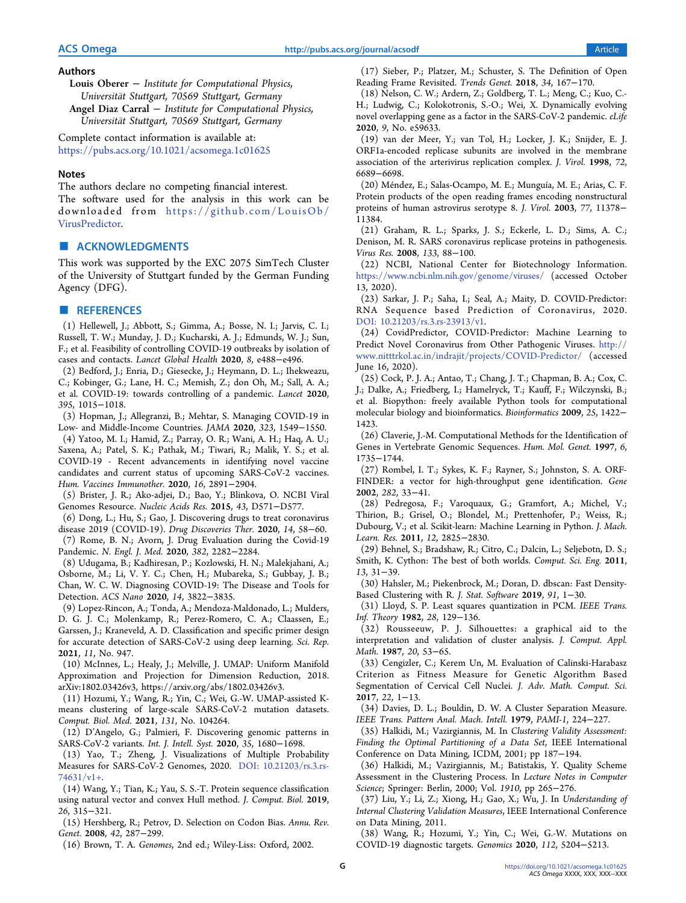#### <span id="page-6-0"></span>Authors

Louis Oberer <sup>−</sup> Institute for Computational Physics, Universität Stuttgart, 70569 Stuttgart, Germany Angel Diaz Carral <sup>−</sup> Institute for Computational Physics, Universität Stuttgart, 70569 Stuttgart, Germany

Complete contact information is available at: [https://pubs.acs.org/10.1021/acsomega.1c01625](https://pubs.acs.org/doi/10.1021/acsomega.1c01625?ref=pdf)

#### Notes

The authors declare no competing financial interest. The software used for the analysis in this work can be downloaded from [https://github.com/LouisOb/](https://github.com/LouisOb/VirusPredictor) [VirusPredictor](https://github.com/LouisOb/VirusPredictor).

## ■ ACKNOWLEDGMENTS

This work was supported by the EXC 2075 SimTech Cluster of the University of Stuttgart funded by the German Funding Agency (DFG).

# ■ REFERENCES

(1) Hellewell, J.; Abbott, S.; Gimma, A.; Bosse, N. I.; Jarvis, C. I.; Russell, T. W.; Munday, J. D.; Kucharski, A. J.; Edmunds, W. J.; Sun, F.; et al. [Feasibility of controlling COVID-19 outbreaks by isolation of](https://doi.org/10.1016/S2214-109X(20)30074-7) [cases and contacts.](https://doi.org/10.1016/S2214-109X(20)30074-7) Lancet Global Health 2020, 8, e488−e496.

(2) Bedford, J.; Enria, D.; Giesecke, J.; Heymann, D. L.; Ihekweazu, C.; Kobinger, G.; Lane, H. C.; Memish, Z.; don Oh, M.; Sall, A. A.; et al[. COVID-19: towards controlling of a pandemic.](https://doi.org/10.1016/S0140-6736(20)30673-5) Lancet 2020, 395, 1015−1018.

(3) Hopman, J.; Allegranzi, B.; Mehtar, S[. Managing COVID-19 in](https://doi.org/10.1001/jama.2020.4169) [Low- and Middle-Income Countries.](https://doi.org/10.1001/jama.2020.4169) JAMA 2020, 323, 1549−1550.

(4) Yatoo, M. I.; Hamid, Z.; Parray, O. R.; Wani, A. H.; Haq, A. U.; Saxena, A.; Patel, S. K.; Pathak, M.; Tiwari, R.; Malik, Y. S.; et al. [COVID-19 - Recent advancements in identifying novel vaccine](https://doi.org/10.1080/21645515.2020.1788310) [candidates and current status of upcoming SARS-CoV-2 vaccines.](https://doi.org/10.1080/21645515.2020.1788310) Hum. Vaccines Immunother. 2020, 16, 2891−2904.

(5) Brister, J. R.; Ako-adjei, D.; Bao, Y.; Blinkova, O[. NCBI Viral](https://doi.org/10.1093/nar/gku1207) [Genomes Resource.](https://doi.org/10.1093/nar/gku1207) Nucleic Acids Res. 2015, 43, D571−D577.

(6) Dong, L.; Hu, S.; Gao, J. [Discovering drugs to treat coronavirus](https://doi.org/10.5582/ddt.2020.01012) [disease 2019 \(COVID-19\).](https://doi.org/10.5582/ddt.2020.01012) Drug Discoveries Ther. 2020, 14, 58−60.

(7) Rome, B. N.; Avorn, J. [Drug Evaluation during the Covid-19](https://doi.org/10.1056/NEJMp2009457) [Pandemic.](https://doi.org/10.1056/NEJMp2009457) N. Engl. J. Med. 2020, 382, 2282−2284.

(8) Udugama, B.; Kadhiresan, P.; Kozlowski, H. N.; Malekjahani, A.; Osborne, M.; Li, V. Y. C.; Chen, H.; Mubareka, S.; Gubbay, J. B.; Chan, W. C. W[. Diagnosing COVID-19: The Disease and Tools for](https://doi.org/10.1021/acsnano.0c02624?urlappend=%3Fref%3DPDF&jav=VoR&rel=cite-as) [Detection.](https://doi.org/10.1021/acsnano.0c02624?urlappend=%3Fref%3DPDF&jav=VoR&rel=cite-as) ACS Nano 2020, 14, 3822−3835.

(9) Lopez-Rincon, A.; Tonda, A.; Mendoza-Maldonado, L.; Mulders, D. G. J. C.; Molenkamp, R.; Perez-Romero, C. A.; Claassen, E.; Garssen, J.; Kraneveld, A. D[. Classification and specific primer design](https://doi.org/10.1038/s41598-020-80363-5) [for accurate detection of SARS-CoV-2 using deep learning.](https://doi.org/10.1038/s41598-020-80363-5) Sci. Rep. 2021, 11, No. 947.

(10) McInnes, L.; Healy, J.; Melville, J. UMAP: Uniform Manifold Approximation and Projection for Dimension Reduction, 2018. arXiv:1802.03426v3, https://arxiv.org/abs/1802.03426v3.

(11) Hozumi, Y.; Wang, R.; Yin, C.; Wei, G.-W. [UMAP-assisted K](https://doi.org/10.1016/j.compbiomed.2021.104264)[means clustering of large-scale SARS-CoV-2 mutation datasets.](https://doi.org/10.1016/j.compbiomed.2021.104264) Comput. Biol. Med. 2021, 131, No. 104264.

(12) D'Angelo, G.; Palmieri, F[. Discovering genomic patterns in](https://doi.org/10.1002/int.22268) [SARS-CoV-2 variants.](https://doi.org/10.1002/int.22268) Int. J. Intell. Syst. 2020, 35, 1680−1698.

(13) Yao, T.; Zheng, J. [Visualizations of Multiple Probability](https://doi.org/10.21203/rs.3.rs-74631/v1+) [Measures for SARS-CoV-2 Genomes](https://doi.org/10.21203/rs.3.rs-74631/v1+), 2020. [DOI: 10.21203/rs.3.rs-](https://doi.org/10.21203/rs.3.rs-74631/v1+?urlappend=%3Fref%3DPDF&jav=VoR&rel=cite-as)[74631/v1+](https://doi.org/10.21203/rs.3.rs-74631/v1+?urlappend=%3Fref%3DPDF&jav=VoR&rel=cite-as).

(14) Wang, Y.; Tian, K.; Yau, S. S.-T[. Protein sequence classification](https://doi.org/10.1089/cmb.2018.0216) [using natural vector and convex Hull method.](https://doi.org/10.1089/cmb.2018.0216) J. Comput. Biol. 2019, 26, 315−321.

(15) Hershberg, R.; Petrov, D[. Selection on Codon Bias.](https://doi.org/10.1146/annurev.genet.42.110807.091442) Annu. Rev. Genet. 2008, 42, 287−299.

(16) Brown, T. A. Genomes, 2nd ed.; Wiley-Liss: Oxford, 2002.

(17) Sieber, P.; Platzer, M.; Schuster, S[. The Definition of Open](https://doi.org/10.1016/j.tig.2017.12.009) [Reading Frame Revisited.](https://doi.org/10.1016/j.tig.2017.12.009) Trends Genet. 2018, 34, 167−170.

(18) Nelson, C. W.; Ardern, Z.; Goldberg, T. L.; Meng, C.; Kuo, C.- H.; Ludwig, C.; Kolokotronis, S.-O.; Wei, X. [Dynamically evolving](https://doi.org/10.7554/eLife.59633) [novel overlapping gene as a factor in the SARS-CoV-2 pandemic.](https://doi.org/10.7554/eLife.59633) eLife 2020, 9, No. e59633.

(19) van der Meer, Y.; van Tol, H.; Locker, J. K.; Snijder, E. J. [ORF1a-encoded replicase subunits are involved in the membrane](https://doi.org/10.1128/JVI.72.8.6689-6698.1998) [association of the arterivirus replication complex.](https://doi.org/10.1128/JVI.72.8.6689-6698.1998) J. Virol. 1998, 72, 6689−6698.

(20) Méndez, E.; Salas-Ocampo, M. E.; Munguía, M. E.; Arias, C. F. [Protein products of the open reading frames encoding nonstructural](https://doi.org/10.1128/JVI.77.21.11378-11384.2003) [proteins of human astrovirus serotype 8.](https://doi.org/10.1128/JVI.77.21.11378-11384.2003) J. Virol. 2003, 77, 11378− 11384.

(21) Graham, R. L.; Sparks, J. S.; Eckerle, L. D.; Sims, A. C.; Denison, M. R. [SARS coronavirus replicase proteins in pathogenesis.](https://doi.org/10.1016/j.virusres.2007.02.017) Virus Res. 2008, 133, 88−100.

(22) NCBI, National Center for Biotechnology Information. <https://www.ncbi.nlm.nih.gov/genome/viruses/> (accessed October 13, 2020).

(23) Sarkar, J. P.; Saha, I.; Seal, A.; Maity, D. [COVID-Predictor:](https://doi.org/10.21203/rs.3.rs-23913/v1) [RNA Sequence based Prediction of Coronavirus](https://doi.org/10.21203/rs.3.rs-23913/v1), 2020. [DOI: 10.21203/rs.3.rs-23913/v1.](https://doi.org/10.21203/rs.3.rs-23913/v1?urlappend=%3Fref%3DPDF&jav=VoR&rel=cite-as)

(24) CovidPredictor, COVID-Predictor: Machine Learning to Predict Novel Coronavirus from Other Pathogenic Viruses. [http://](http://www.nitttrkol.ac.in/indrajit/projects/COVID-Predictor/) [www.nitttrkol.ac.in/indrajit/projects/COVID-Predictor/](http://www.nitttrkol.ac.in/indrajit/projects/COVID-Predictor/) (accessed June 16, 2020).

(25) Cock, P. J. A.; Antao, T.; Chang, J. T.; Chapman, B. A.; Cox, C. J.; Dalke, A.; Friedberg, I.; Hamelryck, T.; Kauff, F.; Wilczynski, B.; et al[. Biopython: freely available Python tools for computational](https://doi.org/10.1093/bioinformatics/btp163) [molecular biology and bioinformatics.](https://doi.org/10.1093/bioinformatics/btp163) Bioinformatics 2009, 25, 1422− 1423.

(26) Claverie, J.-M. [Computational Methods for the Identification of](https://doi.org/10.1093/hmg/6.10.1735) [Genes in Vertebrate Genomic Sequences.](https://doi.org/10.1093/hmg/6.10.1735) Hum. Mol. Genet. 1997, 6, 1735−1744.

(27) Rombel, I. T.; Sykes, K. F.; Rayner, S.; Johnston, S. A. [ORF-](https://doi.org/10.1016/S0378-1119(01)00819-8)[FINDER: a vector for high-throughput gene identification.](https://doi.org/10.1016/S0378-1119(01)00819-8) Gene 2002, 282, 33−41.

(28) Pedregosa, F.; Varoquaux, G.; Gramfort, A.; Michel, V.; Thirion, B.; Grisel, O.; Blondel, M.; Prettenhofer, P.; Weiss, R.; Dubourg, V.; et al. Scikit-learn: Machine Learning in Python. J. Mach. Learn. Res. 2011, 12, 2825−2830.

(29) Behnel, S.; Bradshaw, R.; Citro, C.; Dalcin, L.; Seljebotn, D. S.; Smith, K[. Cython: The best of both worlds.](https://doi.org/10.1109/MCSE.2010.118) Comput. Sci. Eng. 2011, 13, 31−39.

(30) Hahsler, M.; Piekenbrock, M.; Doran, D. [dbscan: Fast Density-](https://doi.org/10.18637/jss.v091.i01)[Based Clustering with R.](https://doi.org/10.18637/jss.v091.i01) J. Stat. Software 2019, 91, 1−30.

(31) Lloyd, S. P[. Least squares quantization in PCM.](https://doi.org/10.1109/TIT.1982.1056489) IEEE Trans. Inf. Theory 1982, 28, 129−136.

(32) Rousseeuw, P. J[. Silhouettes: a graphical aid to the](https://doi.org/10.1016/0377-0427(87)90125-7) [interpretation and validation of cluster analysis.](https://doi.org/10.1016/0377-0427(87)90125-7) J. Comput. Appl. Math. 1987, 20, 53−65.

(33) Cengizler, C.; Kerem Un, M[. Evaluation of Calinski-Harabasz](https://doi.org/10.9734/BJMCS/2017/33729) [Criterion as Fitness Measure for Genetic Algorithm Based](https://doi.org/10.9734/BJMCS/2017/33729) [Segmentation of Cervical Cell Nuclei.](https://doi.org/10.9734/BJMCS/2017/33729) J. Adv. Math. Comput. Sci. 2017, 22, 1−13.

(34) Davies, D. L.; Bouldin, D. W[. A Cluster Separation Measure.](https://doi.org/10.1109/TPAMI.1979.4766909) IEEE Trans. Pattern Anal. Mach. Intell. 1979, PAMI-1, 224−227.

(35) Halkidi, M.; Vazirgiannis, M. In Clustering Validity Assessment: Finding the Optimal Partitioning of a Data Set, IEEE International Conference on Data Mining, ICDM, 2001; pp 187−194.

(36) Halkidi, M.; Vazirgiannis, M.; Batistakis, Y. Quality Scheme Assessment in the Clustering Process. In Lecture Notes in Computer Science; Springer: Berlin, 2000; Vol. 1910, pp 265−276.

(37) Liu, Y.; Li, Z.; Xiong, H.; Gao, X.; Wu, J. In Understanding of Internal Clustering Validation Measures, IEEE International Conference on Data Mining, 2011.

(38) Wang, R.; Hozumi, Y.; Yin, C.; Wei, G.-W[. Mutations on](https://doi.org/10.1016/j.ygeno.2020.09.028) [COVID-19 diagnostic targets.](https://doi.org/10.1016/j.ygeno.2020.09.028) Genomics 2020, 112, 5204−5213.